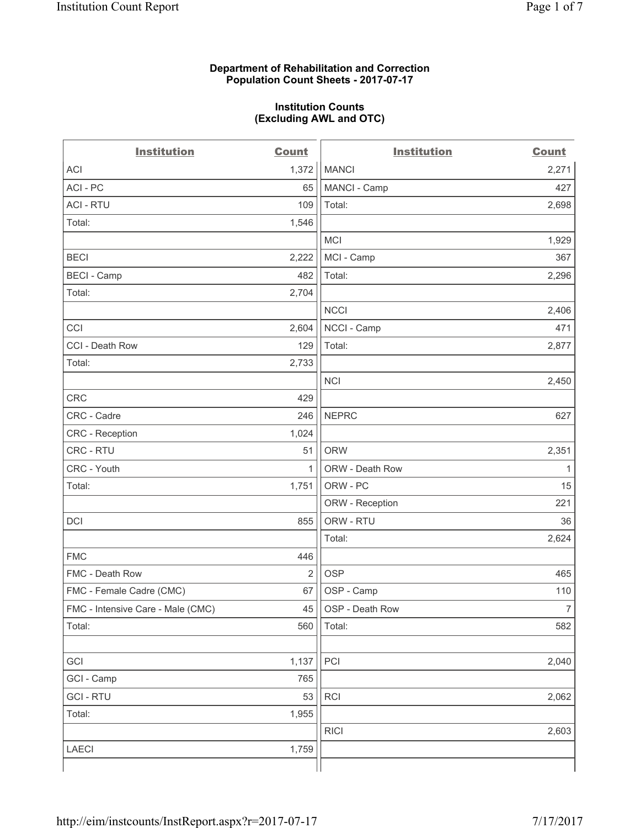### **Department of Rehabilitation and Correction Population Count Sheets - 2017-07-17**

#### **Institution Counts (Excluding AWL and OTC)**

 $-$ 

| <b>Institution</b>                | <b>Count</b>   | <b>Institution</b> | <b>Count</b>   |
|-----------------------------------|----------------|--------------------|----------------|
| <b>ACI</b>                        | 1,372          | <b>MANCI</b>       | 2,271          |
| ACI-PC                            | 65             | MANCI - Camp       | 427            |
| <b>ACI - RTU</b>                  | 109            | Total:             | 2,698          |
| Total:                            | 1,546          |                    |                |
|                                   |                | <b>MCI</b>         | 1,929          |
| <b>BECI</b>                       | 2,222          | MCI - Camp         | 367            |
| <b>BECI - Camp</b>                | 482            | Total:             | 2,296          |
| Total:                            | 2,704          |                    |                |
|                                   |                | <b>NCCI</b>        | 2,406          |
| CCI                               | 2,604          | NCCI - Camp        | 471            |
| CCI - Death Row                   | 129            | Total:             | 2,877          |
| Total:                            | 2,733          |                    |                |
|                                   |                | <b>NCI</b>         | 2,450          |
| <b>CRC</b>                        | 429            |                    |                |
| CRC - Cadre                       | 246            | <b>NEPRC</b>       | 627            |
| <b>CRC</b> - Reception            | 1,024          |                    |                |
| CRC - RTU                         | 51             | <b>ORW</b>         | 2,351          |
| CRC - Youth                       | 1              | ORW - Death Row    | 1              |
| Total:                            | 1,751          | ORW - PC           | 15             |
|                                   |                | ORW - Reception    | 221            |
| DCI                               | 855            | ORW - RTU          | 36             |
|                                   |                | Total:             | 2,624          |
| <b>FMC</b>                        | 446            |                    |                |
| FMC - Death Row                   | $\overline{2}$ | <b>OSP</b>         | 465            |
| FMC - Female Cadre (CMC)          | 67             | OSP - Camp         | 110            |
| FMC - Intensive Care - Male (CMC) | 45             | OSP - Death Row    | $\overline{7}$ |
| Total:                            | 560            | Total:             | 582            |
|                                   |                |                    |                |
| GCI                               | 1,137          | PCI                | 2,040          |
| GCI - Camp                        | 765            |                    |                |
| <b>GCI - RTU</b>                  | 53             | RCI                | 2,062          |
| Total:                            | 1,955          |                    |                |
|                                   |                | <b>RICI</b>        | 2,603          |
| LAECI                             | 1,759          |                    |                |
|                                   |                |                    |                |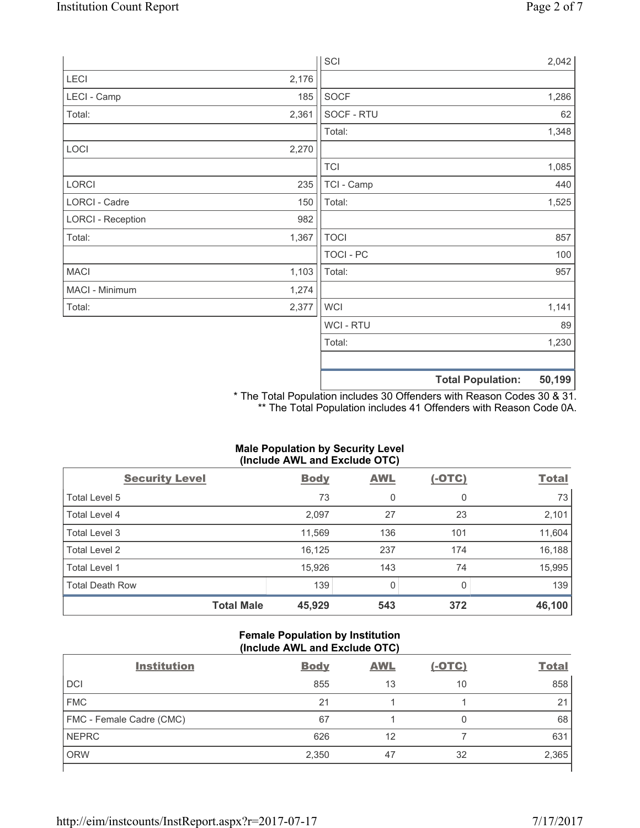|                          |       | SCI            | 2,042                              |
|--------------------------|-------|----------------|------------------------------------|
| LECI                     | 2,176 |                |                                    |
| LECI - Camp              | 185   | SOCF           | 1,286                              |
| Total:                   | 2,361 | SOCF - RTU     | 62                                 |
|                          |       | Total:         | 1,348                              |
| LOCI                     | 2,270 |                |                                    |
|                          |       | <b>TCI</b>     | 1,085                              |
| LORCI                    | 235   | TCI - Camp     | 440                                |
| LORCI - Cadre            | 150   | Total:         | 1,525                              |
| <b>LORCI - Reception</b> | 982   |                |                                    |
| Total:                   | 1,367 | <b>TOCI</b>    | 857                                |
|                          |       | TOCI - PC      | 100                                |
| <b>MACI</b>              | 1,103 | Total:         | 957                                |
| MACI - Minimum           | 1,274 |                |                                    |
| Total:                   | 2,377 | <b>WCI</b>     | 1,141                              |
|                          |       | <b>WCI-RTU</b> | 89                                 |
|                          |       | Total:         | 1,230                              |
|                          |       |                | 50,199<br><b>Total Population:</b> |

\* The Total Population includes 30 Offenders with Reason Codes 30 & 31. \*\* The Total Population includes 41 Offenders with Reason Code 0A.

# **Male Population by Security Level (Include AWL and Exclude OTC)**

| $\mathbf{v}$<br><b>Security Level</b> | <b>Body</b> | . .<br><b>AWL</b> | $(-OTC)$     | <b>Total</b> |
|---------------------------------------|-------------|-------------------|--------------|--------------|
| Total Level 5                         | 73          | 0                 | 0            | 73           |
| Total Level 4                         | 2,097       | 27                | 23           | 2,101        |
| Total Level 3                         | 11,569      | 136               | 101          | 11,604       |
| Total Level 2                         | 16,125      | 237               | 174          | 16,188       |
| Total Level 1                         | 15,926      | 143               | 74           | 15,995       |
| <b>Total Death Row</b>                | 139         | $\Omega$          | <sup>0</sup> | 139          |
| <b>Total Male</b>                     | 45,929      | 543               | 372          | 46,100       |

# **Female Population by Institution (Include AWL and Exclude OTC)**

| <b>Institution</b>       | <b>Body</b> | <b>AWL</b> | <u>(-OTC)</u> | <b>Total</b> |
|--------------------------|-------------|------------|---------------|--------------|
| <b>DCI</b>               | 855         | 13         | 10            | 858          |
| <b>FMC</b>               | 21          |            |               | 21           |
| FMC - Female Cadre (CMC) | 67          |            | 0             | 68           |
| <b>NEPRC</b>             | 626         | 12         |               | 631          |
| <b>ORW</b>               | 2,350       | 47         | 32            | 2,365        |
|                          |             |            |               |              |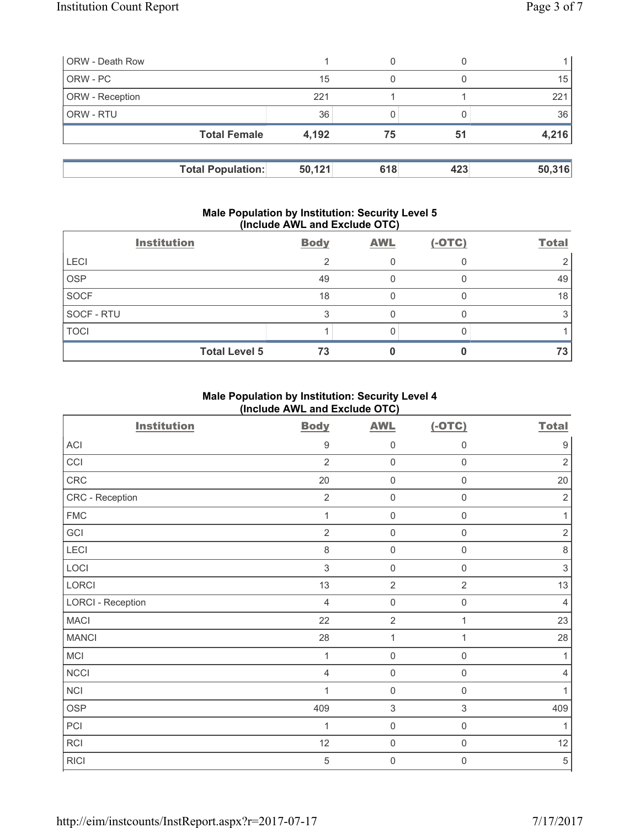| <b>ORW</b> - Death Row   |        | 0   |     |        |
|--------------------------|--------|-----|-----|--------|
| ORW - PC                 | 15     | 0   |     | 15     |
| ORW - Reception          | 221    |     |     | 221    |
| ORW - RTU                | 36     |     |     | 36     |
| <b>Total Female</b>      | 4,192  | 75  | 51  | 4,216  |
|                          |        |     |     |        |
| <b>Total Population:</b> | 50,121 | 618 | 423 | 50,316 |

#### **Male Population by Institution: Security Level 5 (Include AWL and Exclude OTC)**

|             | <b>Institution</b>   | <b>Body</b> | <b>AWL</b> | $(-OTC)$ | <b>Total</b> |
|-------------|----------------------|-------------|------------|----------|--------------|
| <b>LECI</b> |                      | ⌒           |            |          |              |
| <b>OSP</b>  |                      | 49          |            |          | 49           |
| <b>SOCF</b> |                      | 18          |            |          | 18           |
| SOCF - RTU  |                      |             |            |          |              |
| <b>TOCI</b> |                      |             |            |          |              |
|             | <b>Total Level 5</b> | 73          |            |          | 73           |

# **Male Population by Institution: Security Level 4 (Include AWL and Exclude OTC)**

| <b>Institution</b>       | <b>Body</b>      | <b>AWL</b>          | $(-OTC)$            | <b>Total</b>   |
|--------------------------|------------------|---------------------|---------------------|----------------|
| ACI                      | $\boldsymbol{9}$ | 0                   | $\boldsymbol{0}$    | 9              |
| CCI                      | $\overline{2}$   | $\mathsf{O}\xspace$ | $\mathbf 0$         | $\overline{2}$ |
| CRC                      | 20               | $\mathsf{O}\xspace$ | $\mathsf 0$         | 20             |
| CRC - Reception          | $\overline{2}$   | 0                   | $\mathbf 0$         | $\overline{2}$ |
| <b>FMC</b>               | 1                | $\mathsf{O}\xspace$ | $\mathbf 0$         | 1              |
| GCI                      | $\overline{2}$   | $\mathsf{O}\xspace$ | $\mathbf 0$         | $\mathbf 2$    |
| LECI                     | 8                | $\mathsf{O}\xspace$ | $\mathbf 0$         | $\,8\,$        |
| LOCI                     | $\mathfrak{S}$   | 0                   | $\mathbf 0$         | 3              |
| <b>LORCI</b>             | 13               | $\overline{2}$      | $\overline{2}$      | 13             |
| <b>LORCI - Reception</b> | $\overline{4}$   | $\mathsf{O}\xspace$ | $\mathsf{O}\xspace$ | $\overline{4}$ |
| <b>MACI</b>              | 22               | $\overline{2}$      | 1                   | 23             |
| <b>MANCI</b>             | 28               | $\mathbf{1}$        | 1                   | 28             |
| MCI                      | $\mathbf{1}$     | $\mathsf{O}\xspace$ | $\mathbf 0$         | 1              |
| <b>NCCI</b>              | $\overline{4}$   | $\mathsf{O}\xspace$ | $\mathbf 0$         | 4              |
| <b>NCI</b>               | 1                | 0                   | $\mathbf 0$         | 1              |
| <b>OSP</b>               | 409              | $\mathsf 3$         | $\,$ 3 $\,$         | 409            |
| PCI                      | 1                | $\mathsf{O}\xspace$ | $\mathbf 0$         | 1              |
| <b>RCI</b>               | 12               | $\mathsf{O}\xspace$ | $\mathbf 0$         | 12             |
| <b>RICI</b>              | 5                | $\mathbf 0$         | $\mathbf 0$         | $\sqrt{5}$     |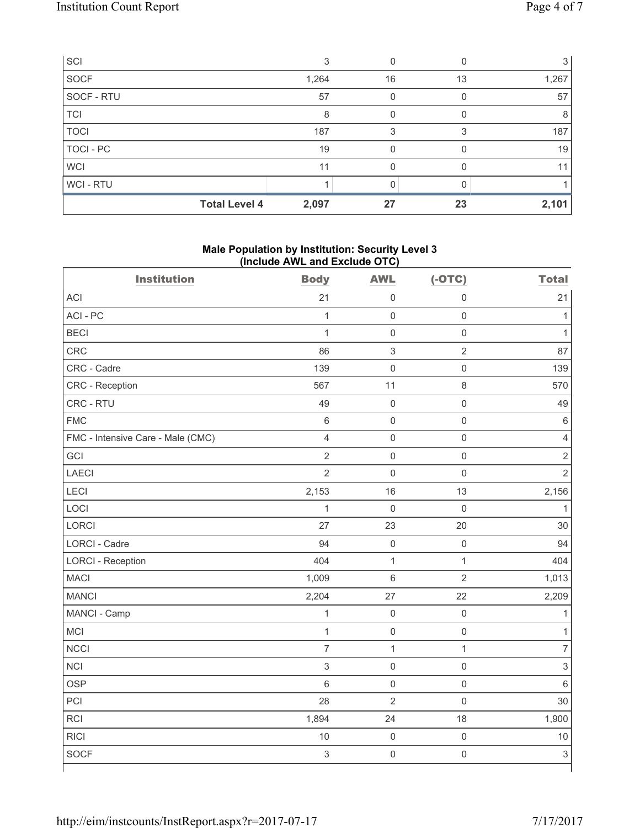| SCI              |                      |       |    |    |       |
|------------------|----------------------|-------|----|----|-------|
| <b>SOCF</b>      |                      | 1,264 | 16 | 13 | 1,267 |
| SOCF - RTU       |                      | 57    |    |    | 57    |
| <b>TCI</b>       |                      | 8     |    |    | 8     |
| <b>TOCI</b>      |                      | 187   |    |    | 187   |
| <b>TOCI - PC</b> |                      | 19    |    |    | 19    |
| <b>WCI</b>       |                      | 11    |    |    | 11    |
| WCI - RTU        |                      |       |    |    |       |
|                  | <b>Total Level 4</b> | 2,097 | 27 | 23 | 2,101 |

# **Male Population by Institution: Security Level 3 (Include AWL and Exclude OTC)**

| <b>Institution</b>                | <b>Body</b>    | <b>AWL</b>          | $(-OTC)$            | <b>Total</b>   |
|-----------------------------------|----------------|---------------------|---------------------|----------------|
| ACI                               | 21             | $\mathsf{O}\xspace$ | $\mathsf 0$         | 21             |
| ACI-PC                            | $\mathbf{1}$   | $\mathsf{O}\xspace$ | $\mathbf 0$         | $\mathbf{1}$   |
| <b>BECI</b>                       | $\mathbf{1}$   | $\mathbf 0$         | $\mathsf 0$         | $\mathbf{1}$   |
| <b>CRC</b>                        | 86             | $\sqrt{3}$          | $\sqrt{2}$          | 87             |
| CRC - Cadre                       | 139            | $\mathsf{O}\xspace$ | $\mathbf 0$         | 139            |
| CRC - Reception                   | 567            | 11                  | $\,8\,$             | 570            |
| CRC - RTU                         | 49             | $\mathsf{O}\xspace$ | $\mathsf{O}\xspace$ | 49             |
| <b>FMC</b>                        | $\,6$          | $\mathbf 0$         | $\mathsf 0$         | $\,6$          |
| FMC - Intensive Care - Male (CMC) | $\overline{4}$ | $\mathsf{O}\xspace$ | $\mathsf 0$         | $\overline{4}$ |
| GCI                               | $\overline{2}$ | $\mathbf 0$         | $\mathsf 0$         | $\overline{2}$ |
| <b>LAECI</b>                      | $\overline{2}$ | $\mathbf 0$         | $\mathsf 0$         | $\overline{2}$ |
| <b>LECI</b>                       | 2,153          | 16                  | 13                  | 2,156          |
| LOCI                              | $\mathbf{1}$   | $\mathbf 0$         | $\mathsf 0$         | $\mathbf{1}$   |
| LORCI                             | 27             | 23                  | 20                  | 30             |
| <b>LORCI - Cadre</b>              | 94             | $\mathsf{O}\xspace$ | $\mathsf{O}\xspace$ | 94             |
| <b>LORCI - Reception</b>          | 404            | $\mathbf{1}$        | $\mathbf{1}$        | 404            |
| <b>MACI</b>                       | 1,009          | $\,$ 6 $\,$         | $\overline{2}$      | 1,013          |
| <b>MANCI</b>                      | 2,204          | 27                  | 22                  | 2,209          |
| MANCI - Camp                      | $\mathbf{1}$   | $\mathbf 0$         | $\mathsf 0$         | 1              |
| <b>MCI</b>                        | $\mathbf{1}$   | $\mathsf 0$         | $\mathsf 0$         | 1              |
| <b>NCCI</b>                       | $\overline{7}$ | $\mathbf{1}$        | $\mathbf{1}$        | $\overline{7}$ |
| <b>NCI</b>                        | 3              | $\mathbf 0$         | $\mathbf 0$         | $\mathfrak{S}$ |
| <b>OSP</b>                        | 6              | $\mathsf{O}\xspace$ | $\mathsf 0$         | $\,6$          |
| PCI                               | 28             | $\overline{2}$      | $\mathbf 0$         | 30             |
| RCI                               | 1,894          | 24                  | 18                  | 1,900          |
| <b>RICI</b>                       | 10             | $\mathsf{O}\xspace$ | $\mathsf{O}\xspace$ | 10             |
| <b>SOCF</b>                       | $\mathsf 3$    | $\mathbf 0$         | $\mathsf 0$         | $\mathsf 3$    |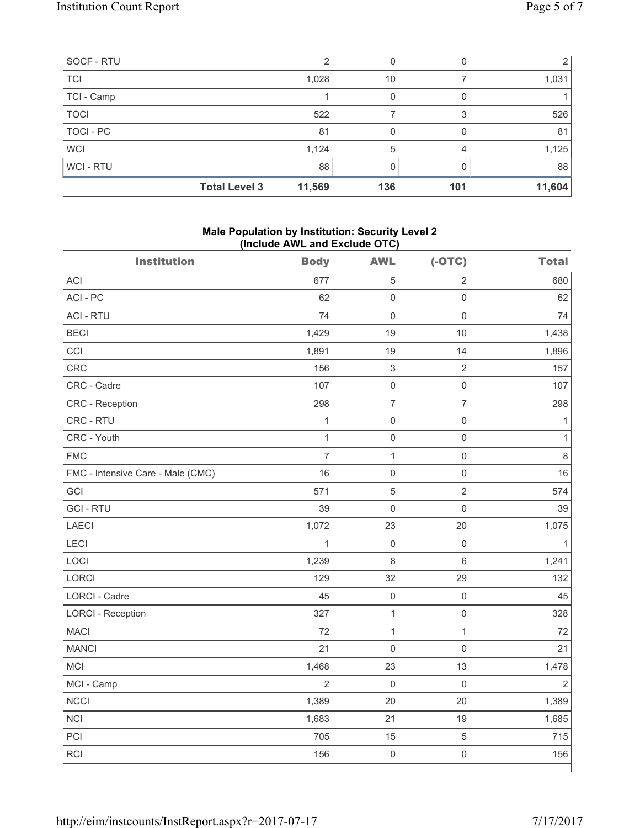| SOCF - RTU           |        |     |     |        |
|----------------------|--------|-----|-----|--------|
| <b>TCI</b>           | 1,028  | 10  |     | 1,031  |
| TCI - Camp           |        |     |     |        |
| <b>TOCI</b>          | 522    |     | 3   | 526    |
| TOCI - PC            | 81     |     |     | 81     |
| <b>WCI</b>           | 1,124  | 5   |     | 1,125  |
| <b>WCI-RTU</b>       | 88     |     |     | 88     |
| <b>Total Level 3</b> | 11,569 | 136 | 101 | 11,604 |

# **Male Population by Institution: Security Level 2 (Include AWL and Exclude OTC)**

| <b>Institution</b>                | <b>Body</b>    | <b>AWL</b>          | $(-OTC)$            | <b>Total</b>   |
|-----------------------------------|----------------|---------------------|---------------------|----------------|
| <b>ACI</b>                        | 677            | $\sqrt{5}$          | $\overline{2}$      | 680            |
| ACI-PC                            | 62             | $\mathbf 0$         | $\mathsf{O}\xspace$ | 62             |
| <b>ACI - RTU</b>                  | 74             | $\mathbf 0$         | $\mathsf{O}\xspace$ | 74             |
| <b>BECI</b>                       | 1,429          | 19                  | 10                  | 1,438          |
| CCI                               | 1,891          | 19                  | 14                  | 1,896          |
| CRC                               | 156            | 3                   | $\sqrt{2}$          | 157            |
| CRC - Cadre                       | 107            | $\mathsf{O}\xspace$ | $\mathsf{O}\xspace$ | 107            |
| CRC - Reception                   | 298            | $\overline{7}$      | $\overline{7}$      | 298            |
| CRC - RTU                         | $\mathbf{1}$   | $\mathsf{O}\xspace$ | $\mathsf{O}\xspace$ | $\mathbf{1}$   |
| CRC - Youth                       | $\mathbf{1}$   | $\mathsf{O}\xspace$ | $\mathsf{O}\xspace$ | $\mathbf{1}$   |
| <b>FMC</b>                        | $\overline{7}$ | $\mathbf{1}$        | $\mathsf{O}\xspace$ | $\,8\,$        |
| FMC - Intensive Care - Male (CMC) | 16             | $\mathsf{O}\xspace$ | $\mathsf{O}\xspace$ | 16             |
| GCI                               | 571            | 5                   | $\overline{2}$      | 574            |
| <b>GCI-RTU</b>                    | 39             | $\mathbf 0$         | $\mathsf{O}\xspace$ | 39             |
| <b>LAECI</b>                      | 1,072          | 23                  | 20                  | 1,075          |
| LECI                              | $\mathbf 1$    | $\mathsf{O}\xspace$ | $\mathsf{O}\xspace$ | $\mathbf{1}$   |
| LOCI                              | 1,239          | 8                   | $\,6$               | 1,241          |
| LORCI                             | 129            | 32                  | 29                  | 132            |
| LORCI - Cadre                     | 45             | $\mathsf{O}\xspace$ | $\mathsf{O}\xspace$ | 45             |
| <b>LORCI - Reception</b>          | 327            | $\mathbf 1$         | $\mathsf{O}\xspace$ | 328            |
| <b>MACI</b>                       | 72             | $\mathbf{1}$        | $\mathbf{1}$        | 72             |
| <b>MANCI</b>                      | 21             | $\mathbf 0$         | $\mathbf 0$         | 21             |
| MCI                               | 1,468          | 23                  | 13                  | 1,478          |
| MCI - Camp                        | $\overline{2}$ | $\mathbf 0$         | $\mathsf{O}\xspace$ | $\overline{2}$ |
| <b>NCCI</b>                       | 1,389          | 20                  | 20                  | 1,389          |
| <b>NCI</b>                        | 1,683          | 21                  | 19                  | 1,685          |
| PCI                               | 705            | 15                  | $\sqrt{5}$          | 715            |
| RCI                               | 156            | $\mathsf{O}\xspace$ | $\mathsf{O}\xspace$ | 156            |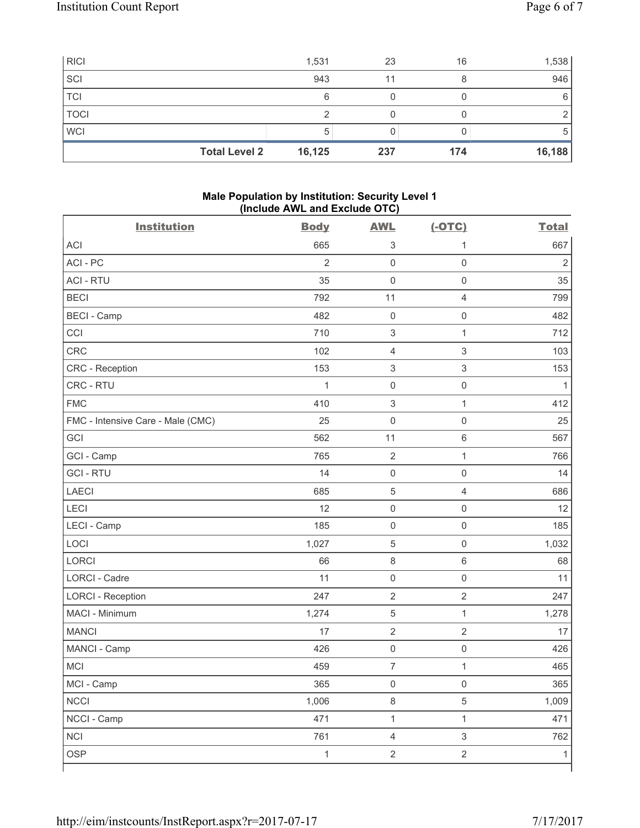| <b>RICI</b>          | 1,531  | 23  | 16  | 1,538  |
|----------------------|--------|-----|-----|--------|
| SCI                  | 943    |     |     | 946    |
| <b>TCI</b>           | 6      |     |     | 6      |
| <b>TOCI</b>          |        |     |     |        |
| <b>WCI</b>           | 5      |     |     | 5      |
| <b>Total Level 2</b> | 16,125 | 237 | 174 | 16,188 |

# **Male Population by Institution: Security Level 1 (Include AWL and Exclude OTC)**

| <b>Institution</b>                | <b>Body</b>    | <b>AWL</b>                | $(-OTC)$                  | <b>Total</b>   |
|-----------------------------------|----------------|---------------------------|---------------------------|----------------|
| <b>ACI</b>                        | 665            | 3                         | 1                         | 667            |
| ACI-PC                            | $\overline{2}$ | $\mathsf 0$               | $\mathsf 0$               | $\overline{2}$ |
| <b>ACI - RTU</b>                  | 35             | $\mathsf 0$               | $\mathsf 0$               | 35             |
| <b>BECI</b>                       | 792            | 11                        | $\overline{4}$            | 799            |
| <b>BECI - Camp</b>                | 482            | $\mathsf{O}\xspace$       | $\mathbf 0$               | 482            |
| CCI                               | 710            | $\sqrt{3}$                | $\mathbf{1}$              | 712            |
| CRC                               | 102            | $\overline{4}$            | $\ensuremath{\mathsf{3}}$ | 103            |
| CRC - Reception                   | 153            | $\ensuremath{\mathsf{3}}$ | $\mathsf 3$               | 153            |
| CRC - RTU                         | 1              | $\mathsf{O}\xspace$       | $\mathsf{O}\xspace$       | 1              |
| <b>FMC</b>                        | 410            | $\ensuremath{\mathsf{3}}$ | $\mathbf{1}$              | 412            |
| FMC - Intensive Care - Male (CMC) | 25             | $\mathsf{O}\xspace$       | $\mathsf 0$               | 25             |
| GCI                               | 562            | 11                        | $\,6\,$                   | 567            |
| GCI - Camp                        | 765            | $\overline{2}$            | $\mathbf{1}$              | 766            |
| <b>GCI-RTU</b>                    | 14             | $\mathsf{O}\xspace$       | $\mathbf 0$               | 14             |
| <b>LAECI</b>                      | 685            | $\sqrt{5}$                | $\overline{4}$            | 686            |
| <b>LECI</b>                       | 12             | $\mathsf{O}\xspace$       | $\mathsf 0$               | 12             |
| LECI - Camp                       | 185            | $\mathbf 0$               | $\mathbf 0$               | 185            |
| LOCI                              | 1,027          | $\sqrt{5}$                | $\mathsf 0$               | 1,032          |
| <b>LORCI</b>                      | 66             | $\,8\,$                   | $\,6\,$                   | 68             |
| <b>LORCI - Cadre</b>              | 11             | $\mathsf{O}\xspace$       | $\mathsf{O}\xspace$       | 11             |
| <b>LORCI - Reception</b>          | 247            | $\overline{2}$            | $\overline{2}$            | 247            |
| MACI - Minimum                    | 1,274          | $\sqrt{5}$                | $\mathbf{1}$              | 1,278          |
| <b>MANCI</b>                      | 17             | $\overline{2}$            | $\overline{2}$            | 17             |
| MANCI - Camp                      | 426            | $\mathsf{O}\xspace$       | $\mathsf{O}\xspace$       | 426            |
| MCI                               | 459            | $\overline{7}$            | 1                         | 465            |
| MCI - Camp                        | 365            | $\mathsf{O}\xspace$       | $\mathsf{O}\xspace$       | 365            |
| <b>NCCI</b>                       | 1,006          | $\,8\,$                   | 5                         | 1,009          |
| NCCI - Camp                       | 471            | $\mathbf 1$               | $\mathbf{1}$              | 471            |
| <b>NCI</b>                        | 761            | $\overline{4}$            | $\mathsf 3$               | 762            |
| OSP                               | $\mathbf{1}$   | $\overline{2}$            | $\overline{2}$            | $\mathbf{1}$   |